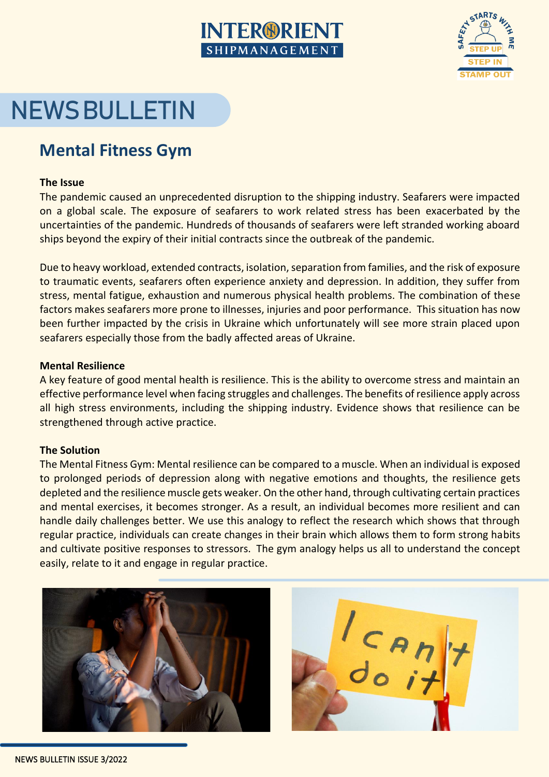# **INTER®RIENT** SHIPMANAGEMENT



# **NEWS BULLETIN**

# **Mental Fitness Gym**

### **The Issue**

The pandemic caused an unprecedented disruption to the shipping industry. Seafarers were impacted on a global scale. The exposure of seafarers to work related stress has been exacerbated by the uncertainties of the pandemic. Hundreds of thousands of seafarers were left stranded working aboard ships beyond the expiry of their initial contracts since the outbreak of the pandemic.

Due to heavy workload, extended contracts, isolation, separation from families, and the risk of exposure to traumatic events, seafarers often experience anxiety and depression. In addition, they suffer from stress, mental fatigue, exhaustion and numerous physical health problems. The combination of these factors makes seafarers more prone to illnesses, injuries and poor performance. This situation has now been further impacted by the crisis in Ukraine which unfortunately will see more strain placed upon seafarers especially those from the badly affected areas of Ukraine.

### **Mental Resilience**

A key feature of good mental health is resilience. This is the ability to overcome stress and maintain an effective performance level when facing struggles and challenges. The benefits of resilience apply across all high stress environments, including the shipping industry. Evidence shows that resilience can be strengthened through active practice.

## **The Solution**

The Mental Fitness Gym: Mental resilience can be compared to a muscle. When an individual is exposed to prolonged periods of depression along with negative emotions and thoughts, the resilience gets depleted and the resilience muscle gets weaker. On the other hand, through cultivating certain practices and mental exercises, it becomes stronger. As a result, an individual becomes more resilient and can handle daily challenges better. We use this analogy to reflect the research which shows that through regular practice, individuals can create changes in their brain which allows them to form strong habits and cultivate positive responses to stressors. The gym analogy helps us all to understand the concept easily, relate to it and engage in regular practice.



 $\begin{bmatrix} C & A & n \\ 0 & i \end{bmatrix}$